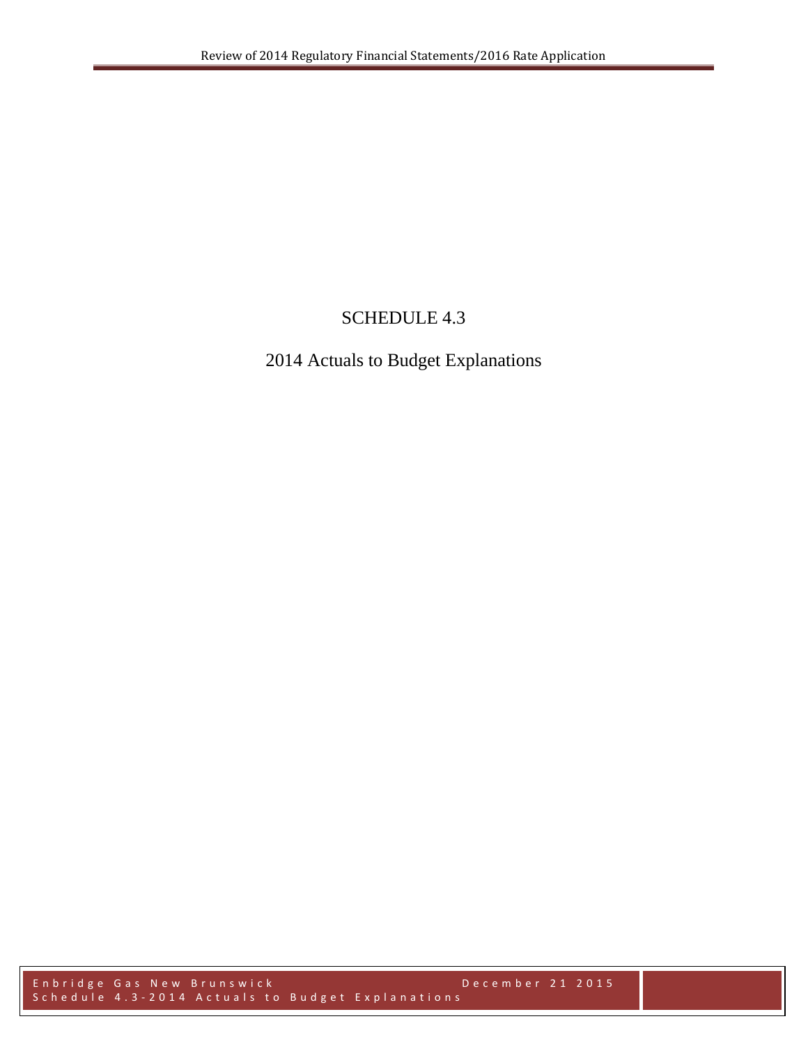# SCHEDULE 4.3

# 2014 Actuals to Budget Explanations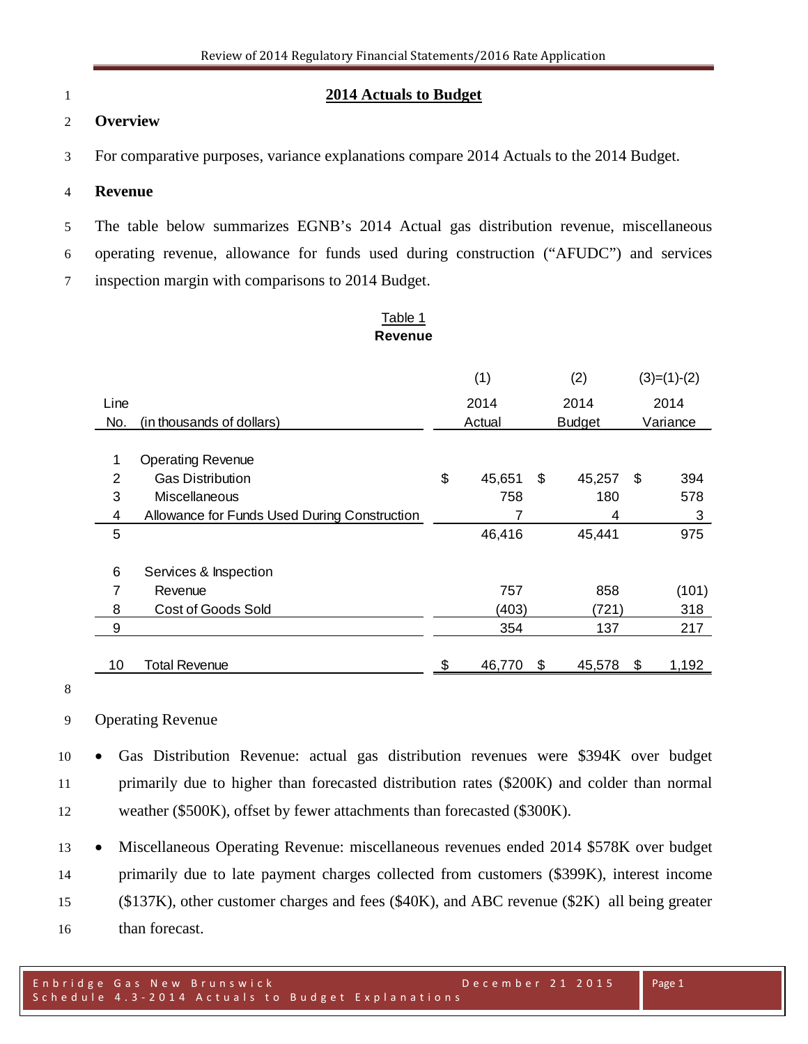#### **2014 Actuals to Budget**

#### **Overview**

For comparative purposes, variance explanations compare 2014 Actuals to the 2014 Budget.

#### **Revenue**

 The table below summarizes EGNB's 2014 Actual gas distribution revenue, miscellaneous operating revenue, allowance for funds used during construction ("AFUDC") and services

inspection margin with comparisons to 2014 Budget.

#### Table 1 **Revenue**

|      |                                              | (1) |                         | (2) |        | $(3)=(1)-(2)$ |       |
|------|----------------------------------------------|-----|-------------------------|-----|--------|---------------|-------|
| Line |                                              |     | 2014                    |     | 2014   | 2014          |       |
| No.  | (in thousands of dollars)                    |     | Actual<br><b>Budget</b> |     |        | Variance      |       |
|      |                                              |     |                         |     |        |               |       |
| 1    | <b>Operating Revenue</b>                     |     |                         |     |        |               |       |
| 2    | <b>Gas Distribution</b>                      | \$  | 45,651                  | \$  | 45,257 | \$            | 394   |
| 3    | Miscellaneous                                |     | 758                     |     | 180    |               | 578   |
| 4    | Allowance for Funds Used During Construction |     |                         |     | 4      |               | 3     |
| 5    |                                              |     | 46,416                  |     | 45,441 |               | 975   |
| 6    | Services & Inspection                        |     |                         |     |        |               |       |
| 7    | Revenue                                      |     | 757                     |     | 858    |               | (101) |
| 8    | <b>Cost of Goods Sold</b>                    |     | (403)                   |     | (721)  |               | 318   |
| 9    |                                              |     | 354                     |     | 137    |               | 217   |
| 10   | <b>Total Revenue</b>                         | \$  | 46,770                  | \$  | 45,578 | \$            | 1,192 |

Operating Revenue

 • Gas Distribution Revenue: actual gas distribution revenues were \$394K over budget primarily due to higher than forecasted distribution rates (\$200K) and colder than normal weather (\$500K), offset by fewer attachments than forecasted (\$300K).

 • Miscellaneous Operating Revenue: miscellaneous revenues ended 2014 \$578K over budget primarily due to late payment charges collected from customers (\$399K), interest income (\$137K), other customer charges and fees (\$40K), and ABC revenue (\$2K) all being greater than forecast.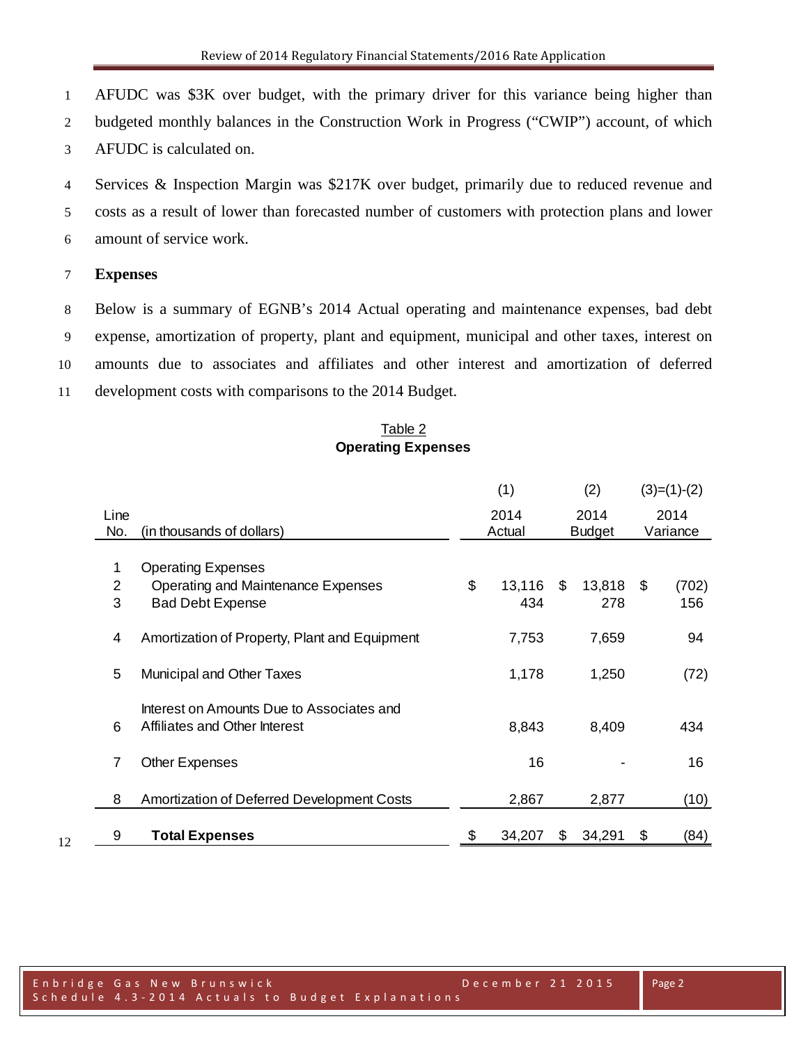AFUDC was \$3K over budget, with the primary driver for this variance being higher than

budgeted monthly balances in the Construction Work in Progress ("CWIP") account, of which

AFUDC is calculated on.

 Services & Inspection Margin was \$217K over budget, primarily due to reduced revenue and costs as a result of lower than forecasted number of customers with protection plans and lower amount of service work.

#### **Expenses**

 Below is a summary of EGNB's 2014 Actual operating and maintenance expenses, bad debt expense, amortization of property, plant and equipment, municipal and other taxes, interest on amounts due to associates and affiliates and other interest and amortization of deferred development costs with comparisons to the 2014 Budget.

## Table 2 **Operating Expenses**

|      |                                               | (1) |        | (2)           |        | $(3)=(1)-(2)$ |          |
|------|-----------------------------------------------|-----|--------|---------------|--------|---------------|----------|
| Line |                                               |     | 2014   |               | 2014   |               | 2014     |
| No.  | (in thousands of dollars)                     |     | Actual | <b>Budget</b> |        |               | Variance |
| 1    | <b>Operating Expenses</b>                     |     |        |               |        |               |          |
| 2    | Operating and Maintenance Expenses            | \$  | 13,116 | \$            | 13,818 | - \$          | (702)    |
| 3    | <b>Bad Debt Expense</b>                       |     | 434    |               | 278    |               | 156      |
|      |                                               |     |        |               |        |               |          |
| 4    | Amortization of Property, Plant and Equipment |     | 7,753  |               | 7,659  |               | 94       |
|      |                                               |     |        |               |        |               |          |
| 5    | Municipal and Other Taxes                     |     | 1,178  |               | 1,250  |               | (72)     |
|      |                                               |     |        |               |        |               |          |
|      | Interest on Amounts Due to Associates and     |     |        |               |        |               |          |
| 6    | Affiliates and Other Interest                 |     | 8,843  |               | 8,409  |               | 434      |
|      |                                               |     |        |               |        |               |          |
| 7    | <b>Other Expenses</b>                         |     | 16     |               |        |               | 16       |
|      |                                               |     |        |               |        |               |          |
| 8    | Amortization of Deferred Development Costs    |     | 2,867  |               | 2,877  |               | (10)     |
|      |                                               |     |        |               |        |               |          |
| 9    | <b>Total Expenses</b>                         | \$  | 34,207 | S             | 34,291 | \$            | (84)     |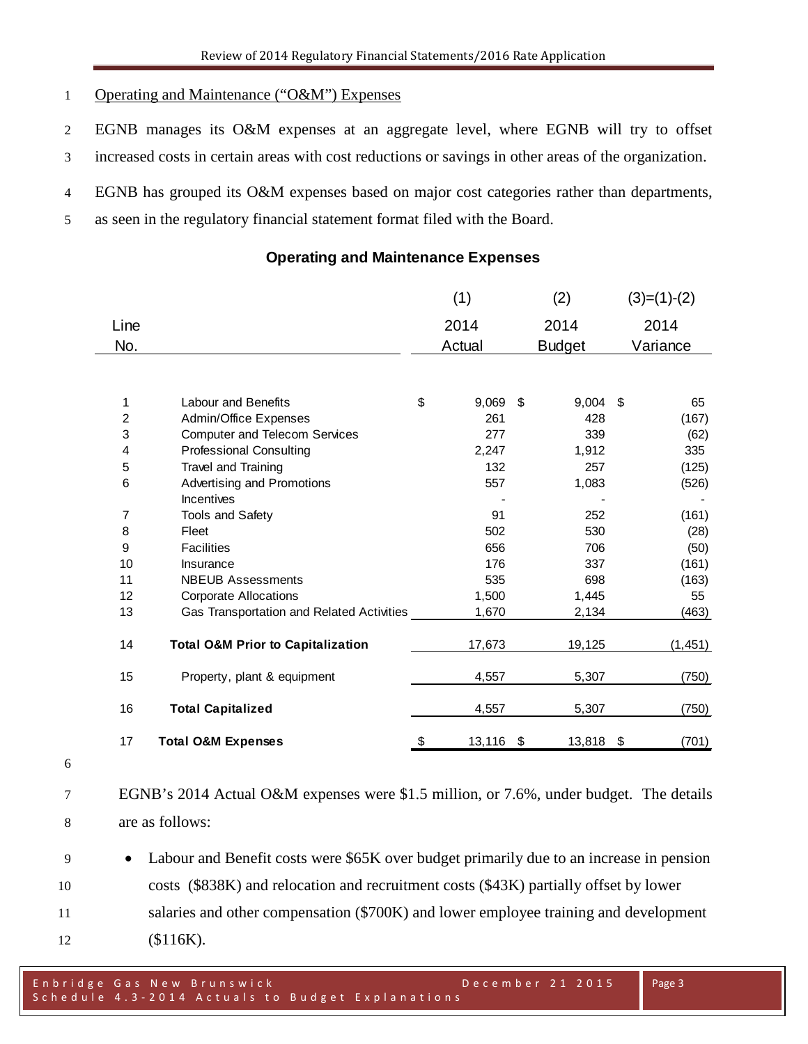#### Operating and Maintenance ("O&M") Expenses

- EGNB manages its O&M expenses at an aggregate level, where EGNB will try to offset
- increased costs in certain areas with cost reductions or savings in other areas of the organization.
- EGNB has grouped its O&M expenses based on major cost categories rather than departments,
- as seen in the regulatory financial statement format filed with the Board.

### **Operating and Maintenance Expenses**

|                |                                              | (1)  |        |      | (2)           |    | $(3)=(1)-(2)$ |
|----------------|----------------------------------------------|------|--------|------|---------------|----|---------------|
| Line           |                                              | 2014 |        | 2014 |               |    | 2014          |
| No.            |                                              |      | Actual |      | <b>Budget</b> |    | Variance      |
|                |                                              |      |        |      |               |    |               |
|                |                                              |      |        |      |               |    |               |
| 1              | <b>Labour and Benefits</b>                   | \$   | 9,069  | \$   | 9,004         | \$ | 65            |
| $\overline{c}$ | Admin/Office Expenses                        |      | 261    |      | 428           |    | (167)         |
| 3              | <b>Computer and Telecom Services</b>         |      | 277    |      | 339           |    | (62)          |
| 4              | <b>Professional Consulting</b>               |      | 2,247  |      | 1,912         |    | 335           |
| 5              | Travel and Training                          |      | 132    |      | 257           |    | (125)         |
| 6              | Advertising and Promotions                   |      | 557    |      | 1,083         |    | (526)         |
|                | Incentives                                   |      |        |      |               |    |               |
| 7              | Tools and Safety                             |      | 91     |      | 252           |    | (161)         |
| 8              | Fleet                                        |      | 502    |      | 530           |    | (28)          |
| 9              | <b>Facilities</b>                            |      | 656    |      | 706           |    | (50)          |
| 10             | Insurance                                    |      | 176    |      | 337           |    | (161)         |
| 11             | <b>NBEUB Assessments</b>                     |      | 535    |      | 698           |    | (163)         |
| 12             | <b>Corporate Allocations</b>                 |      | 1,500  |      | 1,445         |    | 55            |
| 13             | Gas Transportation and Related Activities    |      | 1,670  |      | 2,134         |    | (463)         |
|                |                                              |      |        |      |               |    |               |
| 14             | <b>Total O&amp;M Prior to Capitalization</b> |      | 17,673 |      | 19,125        |    | (1, 451)      |
| 15             | Property, plant & equipment                  |      | 4,557  |      | 5,307         |    | (750)         |
| 16             | <b>Total Capitalized</b>                     |      | 4,557  |      | 5,307         |    | (750)         |
| 17             | <b>Total O&amp;M Expenses</b>                | S    | 13,116 | \$   | 13,818        | \$ | (701)         |

- 
- EGNB's 2014 Actual O&M expenses were \$1.5 million, or 7.6%, under budget. The details are as follows:
- Labour and Benefit costs were \$65K over budget primarily due to an increase in pension costs (\$838K) and relocation and recruitment costs (\$43K) partially offset by lower salaries and other compensation (\$700K) and lower employee training and development (\$116K).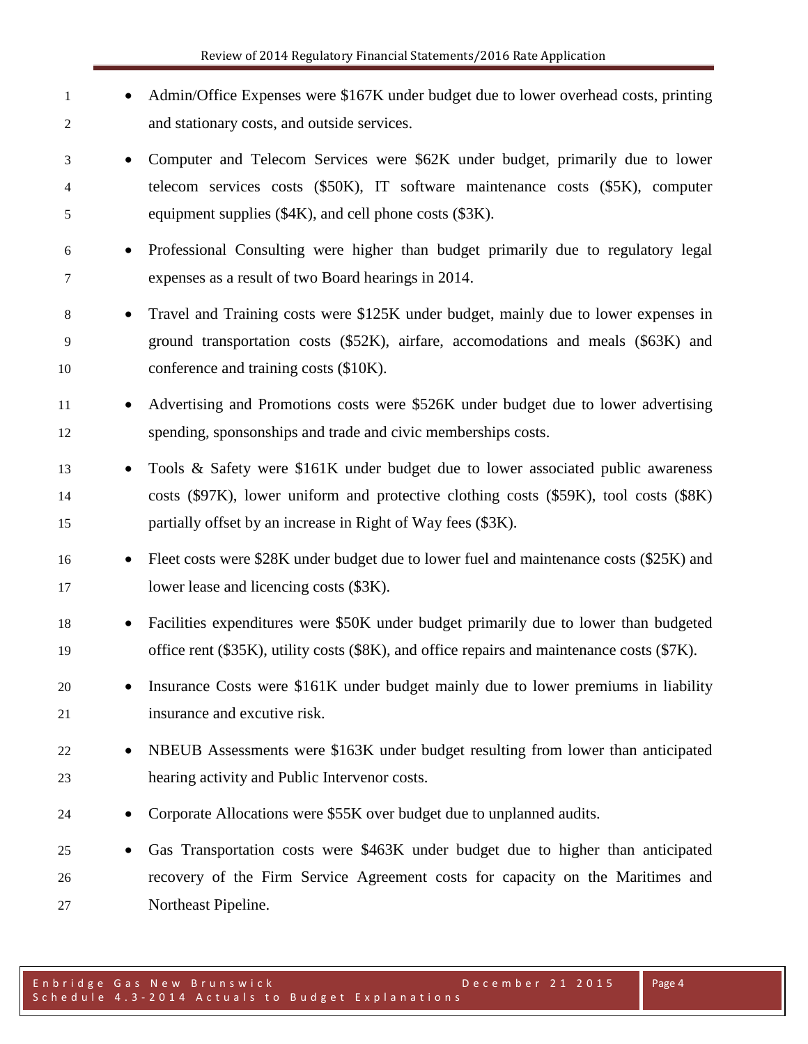| 1<br>2                      | Admin/Office Expenses were \$167K under budget due to lower overhead costs, printing<br>and stationary costs, and outside services.                                                                                                       |
|-----------------------------|-------------------------------------------------------------------------------------------------------------------------------------------------------------------------------------------------------------------------------------------|
| 3<br>$\bullet$<br>4<br>5    | Computer and Telecom Services were \$62K under budget, primarily due to lower<br>telecom services costs (\$50K), IT software maintenance costs (\$5K), computer<br>equipment supplies (\$4K), and cell phone costs (\$3K).                |
| 6<br>7                      | Professional Consulting were higher than budget primarily due to regulatory legal<br>expenses as a result of two Board hearings in 2014.                                                                                                  |
| 8<br>$\bullet$<br>9<br>10   | Travel and Training costs were \$125K under budget, mainly due to lower expenses in<br>ground transportation costs (\$52K), airfare, accomodations and meals (\$63K) and<br>conference and training costs (\$10K).                        |
| 11<br>$\bullet$<br>12       | Advertising and Promotions costs were \$526K under budget due to lower advertising<br>spending, sponsonships and trade and civic memberships costs.                                                                                       |
| 13<br>14<br>15              | Tools & Safety were \$161K under budget due to lower associated public awareness<br>costs (\$97K), lower uniform and protective clothing costs (\$59K), tool costs (\$8K)<br>partially offset by an increase in Right of Way fees (\$3K). |
| 16<br>$\bullet$<br>17       | Fleet costs were \$28K under budget due to lower fuel and maintenance costs (\$25K) and<br>lower lease and licencing costs (\$3K).                                                                                                        |
| 18<br>$\bullet$<br>19       | Facilities expenditures were \$50K under budget primarily due to lower than budgeted<br>office rent (\$35K), utility costs (\$8K), and office repairs and maintenance costs (\$7K).                                                       |
| 20<br>21                    | Insurance Costs were \$161K under budget mainly due to lower premiums in liability<br>insurance and excutive risk.                                                                                                                        |
| 22<br>23                    | NBEUB Assessments were \$163K under budget resulting from lower than anticipated<br>hearing activity and Public Intervenor costs.                                                                                                         |
| 24                          | Corporate Allocations were \$55K over budget due to unplanned audits.                                                                                                                                                                     |
| 25<br>$\bullet$<br>26<br>27 | Gas Transportation costs were \$463K under budget due to higher than anticipated<br>recovery of the Firm Service Agreement costs for capacity on the Maritimes and<br>Northeast Pipeline.                                                 |

Page 4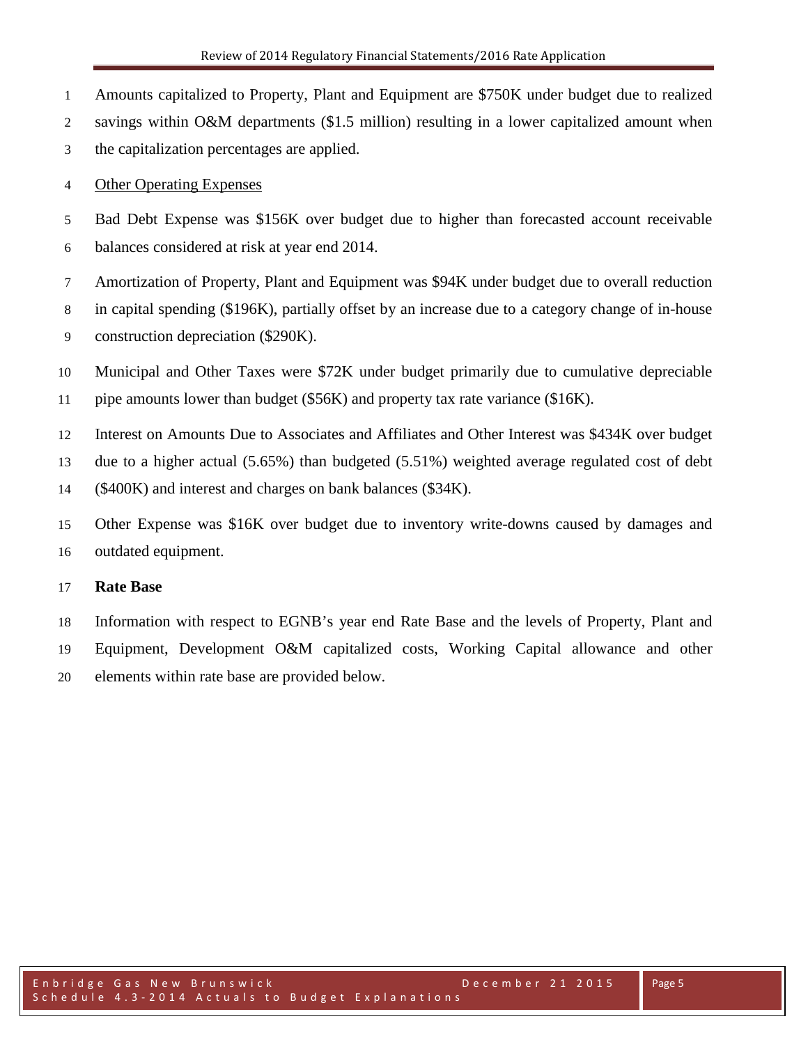- Amounts capitalized to Property, Plant and Equipment are \$750K under budget due to realized
- savings within O&M departments (\$1.5 million) resulting in a lower capitalized amount when
- the capitalization percentages are applied.
- Other Operating Expenses
- Bad Debt Expense was \$156K over budget due to higher than forecasted account receivable balances considered at risk at year end 2014.
- Amortization of Property, Plant and Equipment was \$94K under budget due to overall reduction
- in capital spending (\$196K), partially offset by an increase due to a category change of in-house
- construction depreciation (\$290K).
- Municipal and Other Taxes were \$72K under budget primarily due to cumulative depreciable
- pipe amounts lower than budget (\$56K) and property tax rate variance (\$16K).
- Interest on Amounts Due to Associates and Affiliates and Other Interest was \$434K over budget
- due to a higher actual (5.65%) than budgeted (5.51%) weighted average regulated cost of debt
- (\$400K) and interest and charges on bank balances (\$34K).
- Other Expense was \$16K over budget due to inventory write-downs caused by damages and outdated equipment.

## **Rate Base**

 Information with respect to EGNB's year end Rate Base and the levels of Property, Plant and Equipment, Development O&M capitalized costs, Working Capital allowance and other elements within rate base are provided below.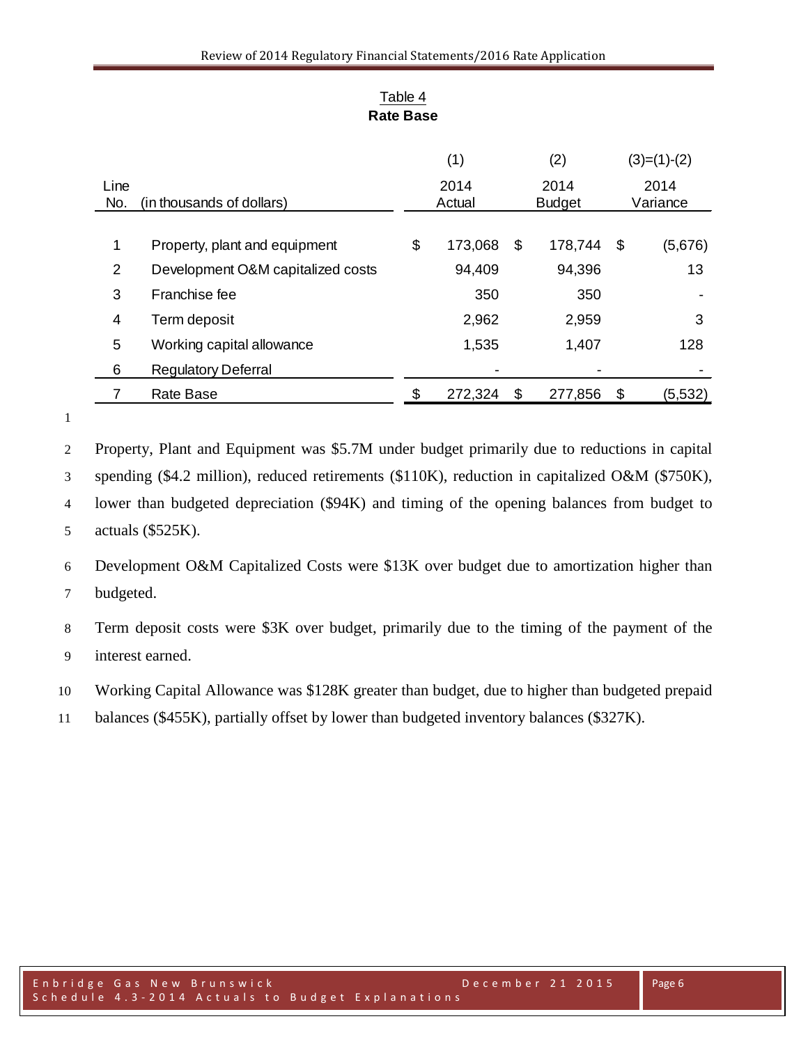|                |                                   | (1)    |         |               | (2)     |    | $(3)=(1)-(2)$ |  |          |
|----------------|-----------------------------------|--------|---------|---------------|---------|----|---------------|--|----------|
| Line           |                                   |        | 2014    |               | 2014    |    | 2014          |  |          |
| No.            | (in thousands of dollars)         | Actual |         | <b>Budget</b> |         |    |               |  | Variance |
|                |                                   |        |         |               |         |    |               |  |          |
| 1              | Property, plant and equipment     | \$     | 173,068 | S             | 178,744 | \$ | (5,676)       |  |          |
| $\overline{2}$ | Development O&M capitalized costs |        | 94,409  |               | 94,396  |    | 13            |  |          |
| 3              | Franchise fee                     |        | 350     |               | 350     |    |               |  |          |
| 4              | Term deposit                      |        | 2,962   |               | 2,959   |    | 3             |  |          |
| 5              | Working capital allowance         |        | 1,535   |               | 1,407   |    | 128           |  |          |
| 6              | <b>Regulatory Deferral</b>        |        |         |               |         |    |               |  |          |
|                | Rate Base                         |        | 272,324 | S             | 277,856 | \$ | (5,532)       |  |          |

## Table 4 **Rate Base**

Property, Plant and Equipment was \$5.7M under budget primarily due to reductions in capital

spending (\$4.2 million), reduced retirements (\$110K), reduction in capitalized O&M (\$750K),

 lower than budgeted depreciation (\$94K) and timing of the opening balances from budget to actuals (\$525K).

 Development O&M Capitalized Costs were \$13K over budget due to amortization higher than budgeted.

 Term deposit costs were \$3K over budget, primarily due to the timing of the payment of the interest earned.

Working Capital Allowance was \$128K greater than budget, due to higher than budgeted prepaid

balances (\$455K), partially offset by lower than budgeted inventory balances (\$327K).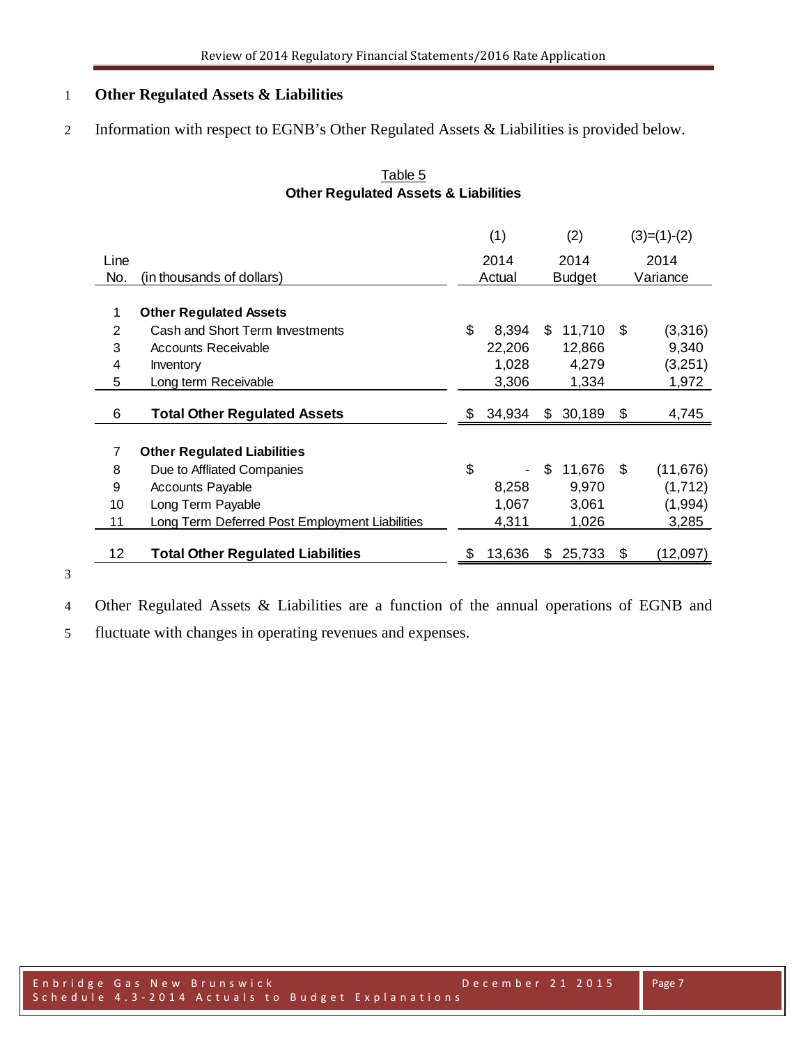#### **Other Regulated Assets & Liabilities**

Information with respect to EGNB's Other Regulated Assets & Liabilities is provided below.

## Table 5 **Other Regulated Assets & Liabilities**

|      |                                                | (1)          |    | (2)           | $(3)=(1)-(2)$   |
|------|------------------------------------------------|--------------|----|---------------|-----------------|
| Line |                                                | 2014         |    | 2014          | 2014            |
| No.  | (in thousands of dollars)                      | Actual       |    | <b>Budget</b> | Variance        |
|      |                                                |              |    |               |                 |
|      | <b>Other Regulated Assets</b>                  |              |    |               |                 |
| 2    | Cash and Short Term Investments                | \$<br>8,394  | \$ | 11,710        | \$<br>(3,316)   |
| 3    | <b>Accounts Receivable</b>                     | 22,206       |    | 12,866        | 9,340           |
| 4    | Inventory                                      | 1,028        |    | 4,279         | (3,251)         |
| 5    | Long term Receivable                           | 3,306        |    | 1,334         | 1,972           |
| 6    | <b>Total Other Regulated Assets</b>            | \$<br>34,934 | \$ | 30,189        | \$<br>4,745     |
|      |                                                |              |    |               |                 |
| 7    | <b>Other Regulated Liabilities</b>             |              |    |               |                 |
| 8    | Due to Affliated Companies                     | \$           | \$ | 11,676        | \$<br>(11, 676) |
| 9    | <b>Accounts Payable</b>                        | 8,258        |    | 9,970         | (1,712)         |
| 10   | Long Term Payable                              | 1,067        |    | 3,061         | (1,994)         |
| 11   | Long Term Deferred Post Employment Liabilities | 4,311        |    | 1,026         | 3,285           |
|      |                                                |              |    |               |                 |
| 12   | <b>Total Other Regulated Liabilities</b>       | \$<br>13,636 | S  | 25,733        | \$<br>(12,097)  |

Other Regulated Assets & Liabilities are a function of the annual operations of EGNB and

fluctuate with changes in operating revenues and expenses.